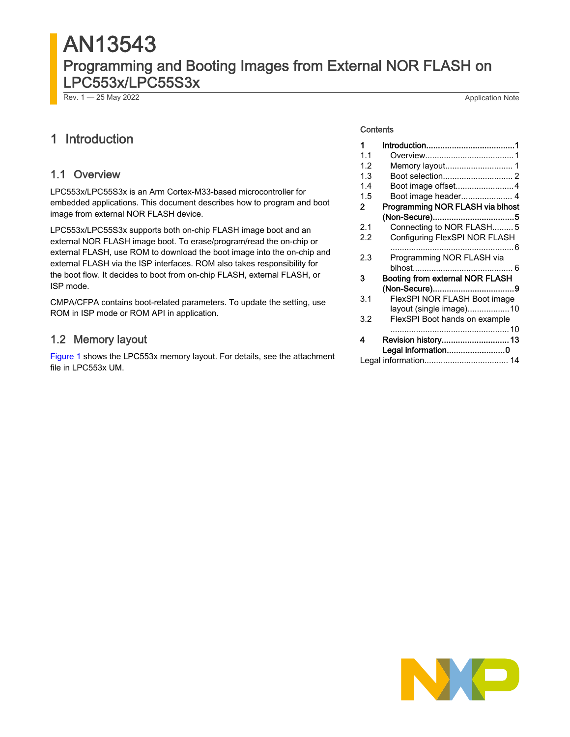# AN13543 Programming and Booting Images from External NOR FLASH on LPC553x/LPC55S3x

Rev. 1 — 25 May 2022 Application Note

# 1 Introduction

#### 1.1 Overview

LPC553x/LPC55S3x is an Arm Cortex-M33-based microcontroller for embedded applications. This document describes how to program and boot image from external NOR FLASH device.

LPC553x/LPC55S3x supports both on-chip FLASH image boot and an external NOR FLASH image boot. To erase/program/read the on-chip or external FLASH, use ROM to download the boot image into the on-chip and external FLASH via the ISP interfaces. ROM also takes responsibility for the boot flow. It decides to boot from on-chip FLASH, external FLASH, or ISP mode.

CMPA/CFPA contains boot-related parameters. To update the setting, use ROM in ISP mode or ROM API in application.

#### 1.2 Memory layout

[Figure 1](#page-1-0) shows the LPC553x memory layout. For details, see the attachment file in LPC553x UM.

#### **Contents**

| 1   |                                        |
|-----|----------------------------------------|
| 11  |                                        |
| 1.2 |                                        |
| 13  |                                        |
| 14  | Boot image offset4                     |
| 1.5 | Boot image header 4                    |
| 2   | Programming NOR FLASH via blhost       |
|     |                                        |
| 2.1 | Connecting to NOR FLASH5               |
| 22  | Configuring FlexSPI NOR FLASH          |
|     |                                        |
| 23  | Programming NOR FLASH via              |
|     |                                        |
| 3   | <b>Booting from external NOR FLASH</b> |
|     |                                        |
| 3.1 | FlexSPI NOR FLASH Boot image           |
|     | layout (single image)10                |
| 3.2 | FlexSPI Boot hands on example          |
|     |                                        |
| 4   | Revision history 13                    |
|     | Legal information0                     |
|     |                                        |

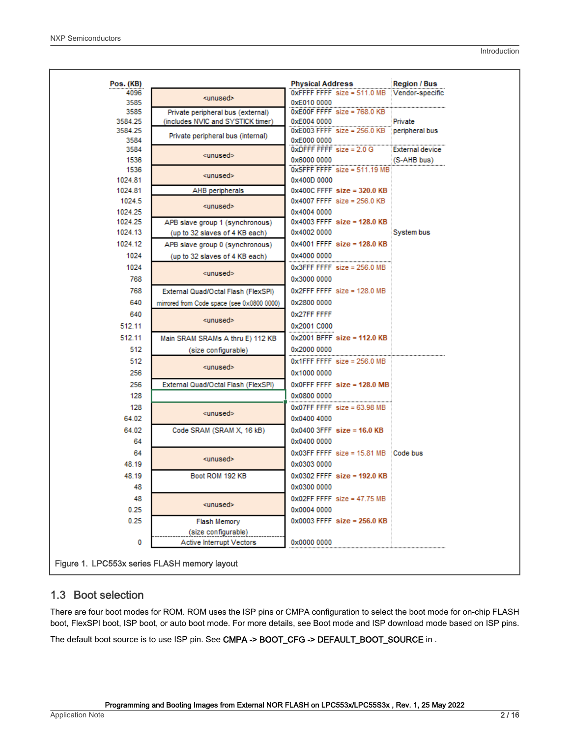<span id="page-1-0"></span>

| Pos. (KB)                                                           | <b>Physical Address</b>                        | <b>Region / Bus</b>    |
|---------------------------------------------------------------------|------------------------------------------------|------------------------|
| 4096<br><unused></unused>                                           | 0xFFFF FFFF size = 511.0 MB Vendor-specific    |                        |
| 3585<br>0xE010 0000                                                 |                                                |                        |
| 3585<br>Private peripheral bus (external)                           | $0xE00F$ FFFF size = 768.0 KB                  |                        |
| 3584.25<br>(includes NVIC and SYSTICK timer)<br>0xE004 0000         | $0xE003$ FFFF size = 256.0 KB peripheral bus   | Private                |
| 3584.25<br>Private peripheral bus (internal)<br>3584<br>0xE000 0000 |                                                |                        |
| 3584                                                                | $0x$ DFFF FFFF size = 2.0 G                    | <b>External device</b> |
| ≺unused≻<br>1536<br>0x6000 0000                                     |                                                | (S-AHB bus)            |
| 1536                                                                | $0x5$ FFF FFFF size = 511.19 MB                |                        |
| <unused><br/>1024.81<br/>0x400D 0000</unused>                       |                                                |                        |
| 1024.81<br>AHB peripherals                                          | $0x400C$ FFFF size = 320.0 KB                  |                        |
| 1024.5                                                              | $0x4007$ FFFF size = 256.0 KB                  |                        |
| <unused></unused>                                                   |                                                |                        |
| 1024.25<br>0x4004 0000                                              | $0x4003$ FFFF size = 128.0 KB                  |                        |
| 1024.25<br>APB slave group 1 (synchronous)                          |                                                |                        |
| 1024.13<br>0x4002 0000<br>(up to 32 slaves of 4 KB each)            |                                                | System bus             |
| 1024.12<br>APB slave group 0 (synchronous)                          | $0x4001$ FFFF size = 128.0 KB                  |                        |
| 1024<br>0x4000 0000<br>(up to 32 slaves of 4 KB each)               |                                                |                        |
| 1024                                                                | $0x3$ FFF FFFF size = 256.0 MB                 |                        |
| <unused><br/>768<br/>0x3000 0000</unused>                           |                                                |                        |
| 768<br>External Quad/Octal Flash (FlexSPI)                          | $0x2$ FFF FFFF size = 128.0 MB                 |                        |
| 640<br>0x2800 0000<br>mirrored from Code space (see 0x0800 0000)    |                                                |                        |
| 640<br>0x27FF FFFF                                                  |                                                |                        |
| <unused></unused>                                                   |                                                |                        |
| 512.11<br>0x2001 C000                                               |                                                |                        |
| 512.11<br>Main SRAM SRAMs A thru E) 112 KB                          | $0x2001$ BFFF size = 112.0 KB                  |                        |
| 512<br>0x2000 0000<br>(size configurable)                           |                                                |                        |
| 512                                                                 | $0x1$ FFF FFFF size = 256.0 MB                 |                        |
| <unused><br/>256<br/>0x1000 0000</unused>                           |                                                |                        |
| 256<br>External Quad/Octal Flash (FlexSPI)                          | $0x0$ FFF FFFF size = 128.0 MB                 |                        |
| 128<br>0x0800 0000                                                  |                                                |                        |
| 128                                                                 | $0x07FF$ FFFF size = 63.98 MB                  |                        |
| <unused><br/>64.02<br/>0x0400 4000</unused>                         |                                                |                        |
|                                                                     |                                                |                        |
| 64.02<br>Code SRAM (SRAM X, 16 kB)                                  | $0x0400$ 3FFF size = 16.0 KB                   |                        |
| 64<br>0x0400 0000                                                   |                                                |                        |
| 64<br><unused></unused>                                             | $0x03FF$ FFFF size = 15.81 MB $\cdot$ Code bus |                        |
| 48.19<br>0x0303 0000                                                |                                                |                        |
| 48.19<br>Boot ROM 192 KB                                            | $0x0302$ FFFF size = 192.0 KB                  |                        |
| 48<br>0x0300 0000                                                   |                                                |                        |
|                                                                     | $0x02FF$ FFFF size = 47.75 MB                  |                        |
| 48                                                                  |                                                |                        |
| <unused><br/>0x0004 0000</unused>                                   |                                                |                        |
| 0.25                                                                |                                                |                        |
| 0.25<br>Flash Memory                                                | $0x0003$ FFFF size = 256.0 KB                  |                        |
| (size configurable)                                                 |                                                |                        |
| Active Interrupt Vectors<br>0<br>0x0000 0000                        |                                                |                        |

#### 1.3 Boot selection

There are four boot modes for ROM. ROM uses the ISP pins or CMPA configuration to select the boot mode for on-chip FLASH boot, FlexSPI boot, ISP boot, or auto boot mode. For more details, see Boot mode and ISP download mode based on ISP pins.

The default boot source is to use ISP pin. See CMPA -> BOOT\_CFG -> DEFAULT\_BOOT\_SOURCE in .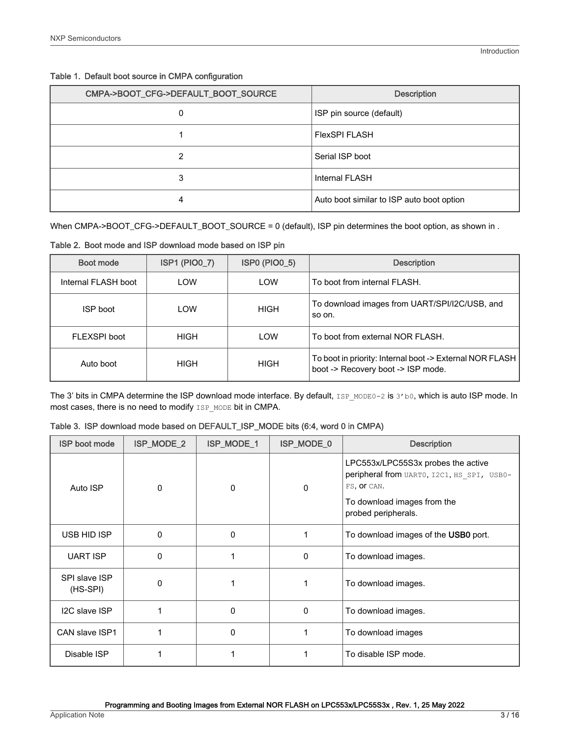|  |  | Table 1. Default boot source in CMPA configuration |
|--|--|----------------------------------------------------|
|  |  |                                                    |

| CMPA->BOOT_CFG->DEFAULT_BOOT_SOURCE | <b>Description</b>                        |
|-------------------------------------|-------------------------------------------|
| 0                                   | ISP pin source (default)                  |
|                                     | <b>FlexSPI FLASH</b>                      |
| 2                                   | Serial ISP boot                           |
| 3                                   | Internal FLASH                            |
| 4                                   | Auto boot similar to ISP auto boot option |

When CMPA->BOOT\_CFG->DEFAULT\_BOOT\_SOURCE = 0 (default), ISP pin determines the boot option, as shown in .

Table 2. Boot mode and ISP download mode based on ISP pin

| Boot mode           | <b>ISP1 (PIO0_7)</b> | <b>ISP0 (PIO0_5)</b> | <b>Description</b>                                                                             |
|---------------------|----------------------|----------------------|------------------------------------------------------------------------------------------------|
| Internal FLASH boot | LOW                  | LOW                  | To boot from internal FLASH.                                                                   |
| ISP boot            | LOW                  | <b>HIGH</b>          | To download images from UART/SPI/I2C/USB, and<br>so on.                                        |
| FLEXSPI boot        | <b>HIGH</b>          | LOW                  | To boot from external NOR FLASH.                                                               |
| Auto boot           | HIGH                 | <b>HIGH</b>          | To boot in priority: Internal boot -> External NOR FLASH<br>boot -> Recovery boot -> ISP mode. |

The 3' bits in CMPA determine the ISP download mode interface. By default, ISP\_MODE0-2 is 3'b0, which is auto ISP mode. In most cases, there is no need to modify  $\texttt{ISP\_MODE}$  bit in CMPA.

| <b>ISP boot mode</b>      | ISP_MODE_2   | ISP_MODE_1 | ISP_MODE_0 | <b>Description</b>                                                                                                                                    |
|---------------------------|--------------|------------|------------|-------------------------------------------------------------------------------------------------------------------------------------------------------|
| Auto ISP                  | 0            | 0          | 0          | LPC553x/LPC55S3x probes the active<br>peripheral from UARTO, I2C1, HS SPI, USB0-<br>FS, OF CAN.<br>To download images from the<br>probed peripherals. |
| USB HID ISP               | $\mathbf{0}$ | 0          |            | To download images of the USB0 port.                                                                                                                  |
| <b>UART ISP</b>           | $\Omega$     |            | 0          | To download images.                                                                                                                                   |
| SPI slave ISP<br>(HS-SPI) | $\Omega$     |            |            | To download images.                                                                                                                                   |
| I2C slave ISP             |              | 0          | 0          | To download images.                                                                                                                                   |
| CAN slave ISP1            |              | 0          |            | To download images                                                                                                                                    |
| Disable ISP               |              |            |            | To disable ISP mode.                                                                                                                                  |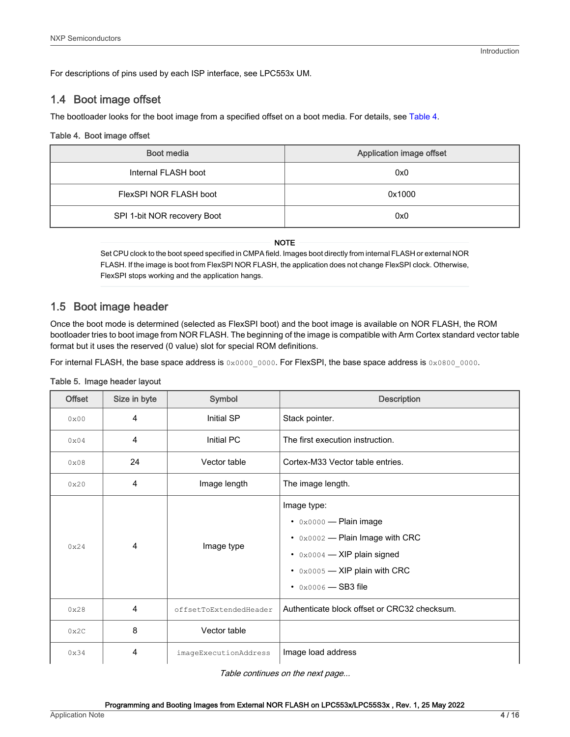<span id="page-3-0"></span>For descriptions of pins used by each ISP interface, see LPC553x UM.

#### 1.4 Boot image offset

The bootloader looks for the boot image from a specified offset on a boot media. For details, see Table 4.

#### Table 4. Boot image offset

| Boot media                  | Application image offset |
|-----------------------------|--------------------------|
| Internal FLASH boot         | 0x0                      |
| FlexSPI NOR FLASH boot      | 0x1000                   |
| SPI 1-bit NOR recovery Boot | 0x0                      |

NOTE

Set CPU clock to the boot speed specified in CMPA field. Images boot directly from internal FLASH or external NOR FLASH. If the image is boot from FlexSPI NOR FLASH, the application does not change FlexSPI clock. Otherwise, FlexSPI stops working and the application hangs.

#### 1.5 Boot image header

Once the boot mode is determined (selected as FlexSPI boot) and the boot image is available on NOR FLASH, the ROM bootloader tries to boot image from NOR FLASH. The beginning of the image is compatible with Arm Cortex standard vector table format but it uses the reserved (0 value) slot for special ROM definitions.

For internal FLASH, the base space address is 0x0000 0000. For FlexSPI, the base space address is 0x0800 0000.

#### Table 5. Image header layout

| <b>Offset</b> | Size in byte   | Symbol                 | <b>Description</b>                                                                                                                                                                               |
|---------------|----------------|------------------------|--------------------------------------------------------------------------------------------------------------------------------------------------------------------------------------------------|
| 0x00          | 4              | Initial SP             | Stack pointer.                                                                                                                                                                                   |
| $0 \times 04$ | 4              | Initial PC             | The first execution instruction.                                                                                                                                                                 |
| 0x08          | 24             | Vector table           | Cortex-M33 Vector table entries.                                                                                                                                                                 |
| 0x20          | 4              | Image length           | The image length.                                                                                                                                                                                |
| 0x24          | $\overline{4}$ | Image type             | Image type:<br>$\cdot$ 0x0000 - Plain image<br>$\cdot$ 0x0002 - Plain Image with CRC<br>$\cdot$ 0x0004 – XIP plain signed<br>$\cdot$ 0x0005 - XIP plain with CRC<br>• $0 \times 0006$ - SB3 file |
| 0x28          | 4              | offsetToExtendedHeader | Authenticate block offset or CRC32 checksum.                                                                                                                                                     |
| 0x2C          | 8              | Vector table           |                                                                                                                                                                                                  |
| 0x34          | 4              | imageExecutionAddress  | Image load address                                                                                                                                                                               |

Table continues on the next page...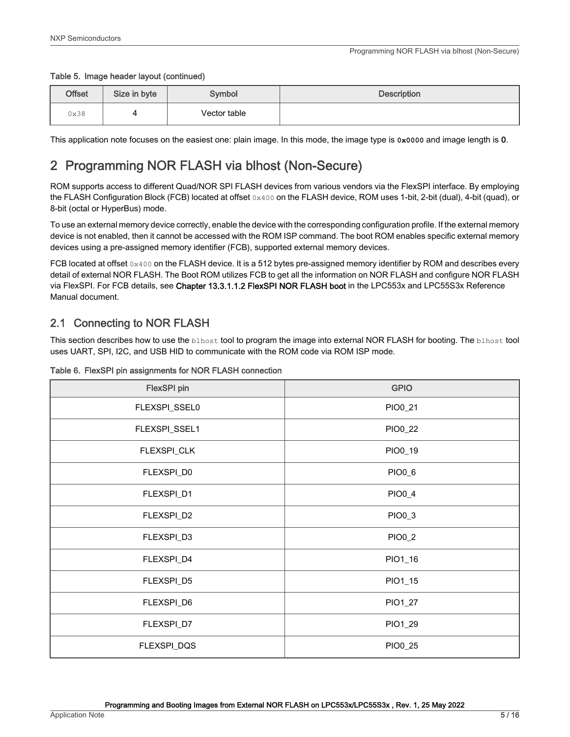#### <span id="page-4-0"></span>Table 5. Image header layout (continued)

| Offset | Size in byte | Symbol       | <b>Description</b> |
|--------|--------------|--------------|--------------------|
| 0x38   |              | Vector table |                    |

This application note focuses on the easiest one: plain image. In this mode, the image type is **0x0000** and image length is 0.

# 2 Programming NOR FLASH via blhost (Non-Secure)

ROM supports access to different Quad/NOR SPI FLASH devices from various vendors via the FlexSPI interface. By employing the FLASH Configuration Block (FCB) located at offset  $0 \times 400$  on the FLASH device, ROM uses 1-bit, 2-bit (dual), 4-bit (quad), or 8-bit (octal or HyperBus) mode.

To use an external memory device correctly, enable the device with the corresponding configuration profile. If the external memory device is not enabled, then it cannot be accessed with the ROM ISP command. The boot ROM enables specific external memory devices using a pre-assigned memory identifier (FCB), supported external memory devices.

FCB located at offset 0x400 on the FLASH device. It is a 512 bytes pre-assigned memory identifier by ROM and describes every detail of external NOR FLASH. The Boot ROM utilizes FCB to get all the information on NOR FLASH and configure NOR FLASH via FlexSPI. For FCB details, see Chapter 13.3.1.1.2 FlexSPI NOR FLASH boot in the LPC553x and LPC55S3x Reference Manual document.

### 2.1 Connecting to NOR FLASH

This section describes how to use the **blhost** tool to program the image into external NOR FLASH for booting. The **blhost** tool uses UART, SPI, I2C, and USB HID to communicate with the ROM code via ROM ISP mode.

| <b>FlexSPI</b> pin | <b>GPIO</b> |
|--------------------|-------------|
| FLEXSPI_SSEL0      | PIO0_21     |
| FLEXSPI_SSEL1      | PIO0_22     |
| FLEXSPI_CLK        | PIO0_19     |
| FLEXSPI_D0         | PIO0_6      |
| FLEXSPI_D1         | PIO0_4      |
| FLEXSPI_D2         | PIO0_3      |
| FLEXSPI_D3         | PIO0_2      |
| FLEXSPI_D4         | PIO1_16     |
| FLEXSPI_D5         | PIO1_15     |
| FLEXSPI_D6         | PIO1_27     |
| FLEXSPI_D7         | PIO1_29     |
| FLEXSPI_DQS        | PIO0_25     |

#### Table 6. FlexSPI pin assignments for NOR FLASH connection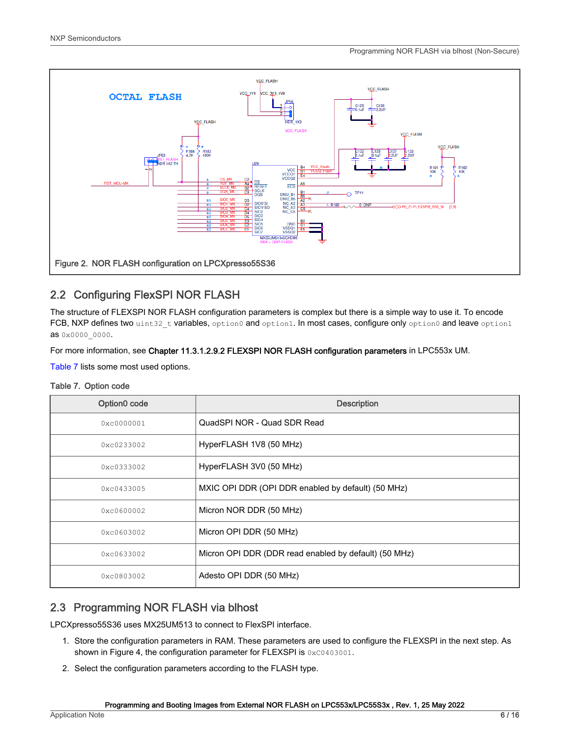<span id="page-5-0"></span>

# 2.2 Configuring FlexSPI NOR FLASH

The structure of FLEXSPI NOR FLASH configuration parameters is complex but there is a simple way to use it. To encode FCB, NXP defines two uint32 t variables, option0 and option1. In most cases, configure only option0 and leave option1 as 0x0000\_0000.

For more information, see Chapter 11.3.1.2.9.2 FLEXSPI NOR FLASH configuration parameters in LPC553x UM.

Table 7 lists some most used options.

#### Table 7. Option code

| Option0 code       | <b>Description</b>                                    |
|--------------------|-------------------------------------------------------|
| 0xc0000001         | QuadSPI NOR - Quad SDR Read                           |
| 0xc0233002         | HyperFLASH 1V8 (50 MHz)                               |
| 0xc0333002         | HyperFLASH 3V0 (50 MHz)                               |
| 0xc0433005         | MXIC OPI DDR (OPI DDR enabled by default) (50 MHz)    |
| 0xc0600002         | Micron NOR DDR (50 MHz)                               |
| 0xc0603002         | Micron OPI DDR (50 MHz)                               |
| 0xc0633002         | Micron OPI DDR (DDR read enabled by default) (50 MHz) |
| $0 \times 0803002$ | Adesto OPI DDR (50 MHz)                               |

# 2.3 Programming NOR FLASH via blhost

LPCXpresso55S36 uses MX25UM513 to connect to FlexSPI interface.

- 1. Store the configuration parameters in RAM. These parameters are used to configure the FLEXSPI in the next step. As shown in Figure 4, the configuration parameter for FLEXSPI is 0xC0403001.
- 2. Select the configuration parameters according to the FLASH type.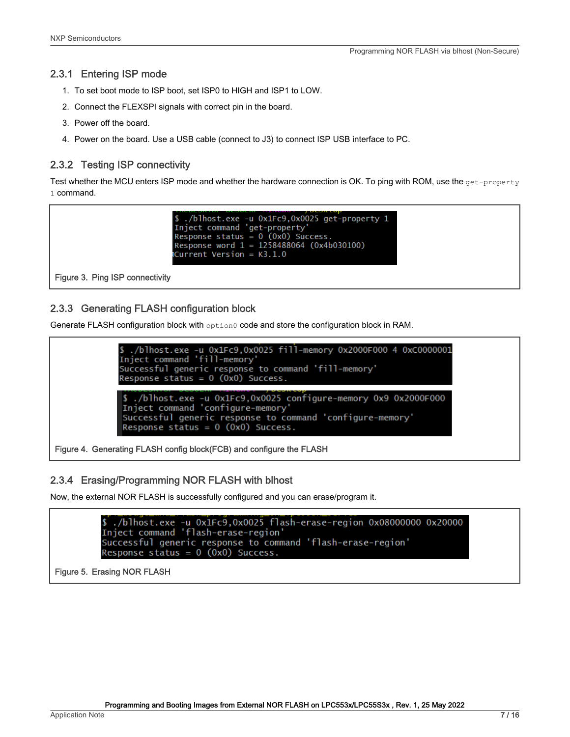#### 2.3.1 Entering ISP mode

- 1. To set boot mode to ISP boot, set ISP0 to HIGH and ISP1 to LOW.
- 2. Connect the FLEXSPI signals with correct pin in the board.
- 3. Power off the board.
- 4. Power on the board. Use a USB cable (connect to J3) to connect ISP USB interface to PC.

#### 2.3.2 Testing ISP connectivity

Test whether the MCU enters ISP mode and whether the hardware connection is OK. To ping with ROM, use the get-property 1 command.

```
./blhost.exe -u 0x1Fc9.0x0025 get-property 1
3./DINOST.exe -u OXIFC9,0X0023 get-prope<br>Inject command 'get-property'<br>Response status = 0 (0x0) Success.<br>Response word 1 = 1258488064 (0x4b030100)
Current Version = K3.1.0
```
Figure 3. Ping ISP connectivity

#### 2.3.3 Generating FLASH configuration block

Generate FLASH configuration block with option0 code and store the configuration block in RAM.

\$ ./blhost.exe -u 0x1Fc9,0x0025 fill-memory 0x2000F000 4 0xC0000001<br>Inject command 'fill-memory' Successful generic response to command 'fill-memory' Response status =  $0$  (0x0) Success. ./blhost.exe -u 0x1Fc9,0x0025 configure-memory 0x9 0x2000F000 Inject command 'configure-memory Inject Command - Conriguie-memory<br>Successful generic response to command 'configure-memory' Response status =  $0$  (0x0) Success.

Figure 4. Generating FLASH config block(FCB) and configure the FLASH

#### 2.3.4 Erasing/Programming NOR FLASH with blhost

Now, the external NOR FLASH is successfully configured and you can erase/program it.

./blhost.exe -u 0x1Fc9,0x0025 flash-erase-region 0x08000000 0x20000 Inject command 'flash-erase-region' Successful generic response to command 'flash-erase-region' Response status =  $0$  (0x0) Success.

Figure 5. Erasing NOR FLASH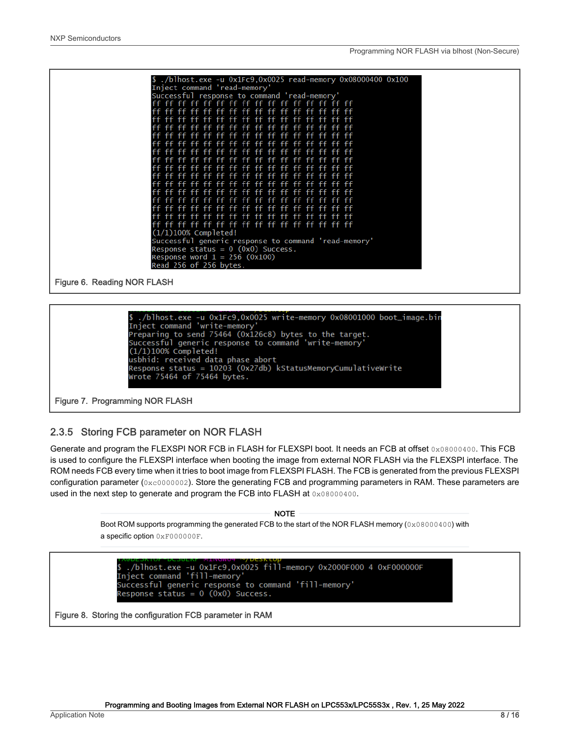| Successful response to command 'read-memory'         |                                        |                  |            |          |  |
|------------------------------------------------------|----------------------------------------|------------------|------------|----------|--|
| ff ff ff ff ff ff ff ff ff ff ff ff ff               |                                        |                  |            | ff ff    |  |
|                                                      | ff ff ff ff ff ff ff ff ff ff ff ff ff |                  |            |          |  |
|                                                      |                                        |                  |            |          |  |
|                                                      | ff ff ff ff ff                         | ff<br>ff         | ff<br>-ff  |          |  |
|                                                      | ff<br>ff                               |                  |            |          |  |
|                                                      | ff ff ff ff ff ff ff ff ff ff ff       |                  |            |          |  |
|                                                      |                                        | ff               | ff.        |          |  |
| $++$                                                 | -FF<br>-FF.<br>ff                      | ff<br>ff.<br>-FF | -FF<br>-FF |          |  |
|                                                      |                                        |                  |            |          |  |
|                                                      | -66                                    |                  |            |          |  |
|                                                      |                                        |                  |            |          |  |
|                                                      |                                        |                  |            |          |  |
|                                                      |                                        |                  |            |          |  |
|                                                      |                                        |                  |            |          |  |
|                                                      |                                        |                  |            |          |  |
|                                                      | ff ff ff ff                            | ff ff ff ff      | ff.        | ff ff ff |  |
| $(1/1)100\%$ Completed!                              |                                        |                  |            |          |  |
| Successful generic response to command 'read-memory' |                                        |                  |            |          |  |
| Response status = $0$ (0x0) Success.                 |                                        |                  |            |          |  |
| Response word $1 = 256$ (0x100)                      |                                        |                  |            |          |  |
| Read 256 of 256 bytes.                               |                                        |                  |            |          |  |

Figure 6. Reading NOR FLASH



Figure 7. Programming NOR FLASH

#### 2.3.5 Storing FCB parameter on NOR FLASH

Generate and program the FLEXSPI NOR FCB in FLASH for FLEXSPI boot. It needs an FCB at offset 0x08000400. This FCB is used to configure the FLEXSPI interface when booting the image from external NOR FLASH via the FLEXSPI interface. The ROM needs FCB every time when it tries to boot image from FLEXSPI FLASH. The FCB is generated from the previous FLEXSPI configuration parameter (0xc0000002). Store the generating FCB and programming parameters in RAM. These parameters are used in the next step to generate and program the FCB into FLASH at 0x08000400.

**NOTE** 

Boot ROM supports programming the generated FCB to the start of the NOR FLASH memory (0x08000400) with a specific option 0xF000000F.

Solution Construct Provide Construction<br>S./blhost.exe -u 0x1Fc9,0x0025 fill-memory 0x2000F000 4 0xF000000F<br>Inject command 'fill-memory' Successful generic response to command 'fill-memory' Response status =  $0$  (0x0) Success.

Figure 8. Storing the configuration FCB parameter in RAM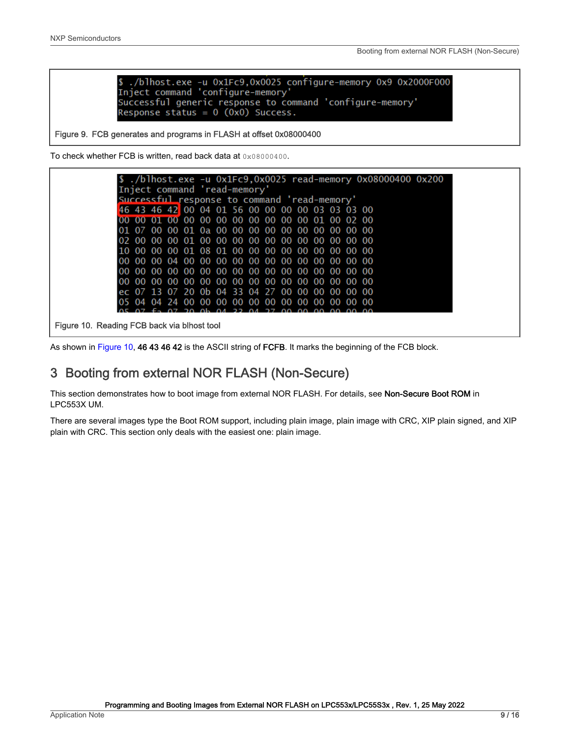Figure

<span id="page-8-0"></span>

| \$ ./blhost.exe -u 0x1Fc9.0x0025 configure-memory 0x9 0x2000F000 |
|------------------------------------------------------------------|
| Inject command 'configure-memory'                                |
| Successful generic response to command 'configure-memory'        |
| Response status = $0$ (0x0) Success.                             |

#### Figure 9. FCB generates and programs in FLASH at offset 0x08000400

To check whether FCB is written, read back data at 0x08000400.

|                                      |                                                    |  |  |  |  |  |  | $\frac{1}{2}$ ./blhost.exe -u 0x1Fc9,0x0025 read-memory 0x08000400 0x200 |  |  |
|--------------------------------------|----------------------------------------------------|--|--|--|--|--|--|--------------------------------------------------------------------------|--|--|
|                                      | Inject command 'read-memory'                       |  |  |  |  |  |  |                                                                          |  |  |
|                                      | Successful response to command 'read-memory'       |  |  |  |  |  |  |                                                                          |  |  |
|                                      | 46 43 46 42 00 04 01 56 00 00 00 00 03 03 03 00    |  |  |  |  |  |  |                                                                          |  |  |
|                                      | 00 00 01 00 00 00 00 00 00 00 00 00 01 00 02 00    |  |  |  |  |  |  |                                                                          |  |  |
|                                      | 01 07 00 00 01 0a 00 00 00 00 00 00 00 00 00 00 00 |  |  |  |  |  |  |                                                                          |  |  |
|                                      |                                                    |  |  |  |  |  |  |                                                                          |  |  |
|                                      | 10 00 00 00 01 08 01 00 00 00 00 00 00 00 00 00    |  |  |  |  |  |  |                                                                          |  |  |
|                                      |                                                    |  |  |  |  |  |  |                                                                          |  |  |
|                                      |                                                    |  |  |  |  |  |  |                                                                          |  |  |
|                                      |                                                    |  |  |  |  |  |  |                                                                          |  |  |
|                                      | ec 07 13 07 20 0b 04 33 04 27 00 00 00 00 00 00 00 |  |  |  |  |  |  |                                                                          |  |  |
|                                      |                                                    |  |  |  |  |  |  |                                                                          |  |  |
|                                      |                                                    |  |  |  |  |  |  |                                                                          |  |  |
| 10. Reading FCB back via blhost tool |                                                    |  |  |  |  |  |  |                                                                          |  |  |

As shown in Figure 10, 46 43 46 42 is the ASCII string of FCFB. It marks the beginning of the FCB block.

# 3 Booting from external NOR FLASH (Non-Secure)

This section demonstrates how to boot image from external NOR FLASH. For details, see Non-Secure Boot ROM in LPC553X UM.

There are several images type the Boot ROM support, including plain image, plain image with CRC, XIP plain signed, and XIP plain with CRC. This section only deals with the easiest one: plain image.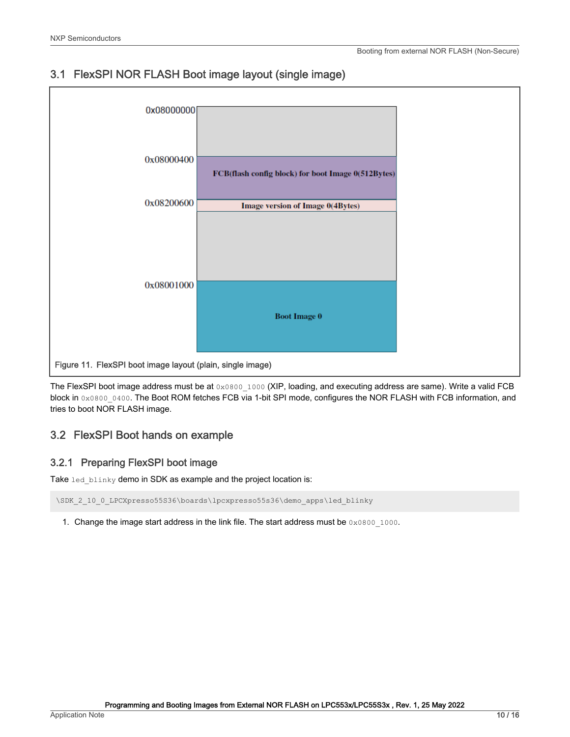

# <span id="page-9-0"></span>3.1 FlexSPI NOR FLASH Boot image layout (single image)

The FlexSPI boot image address must be at  $0 \times 0800-1000$  (XIP, loading, and executing address are same). Write a valid FCB block in 0x0800\_0400. The Boot ROM fetches FCB via 1-bit SPI mode, configures the NOR FLASH with FCB information, and tries to boot NOR FLASH image.

#### 3.2 FlexSPI Boot hands on example

#### 3.2.1 Preparing FlexSPI boot image

Take led blinky demo in SDK as example and the project location is:

\SDK 2 10 0 LPCXpresso55S36\boards\lpcxpresso55s36\demo apps\led blinky

1. Change the image start address in the link file. The start address must be  $0 \times 0800 \_1000$ .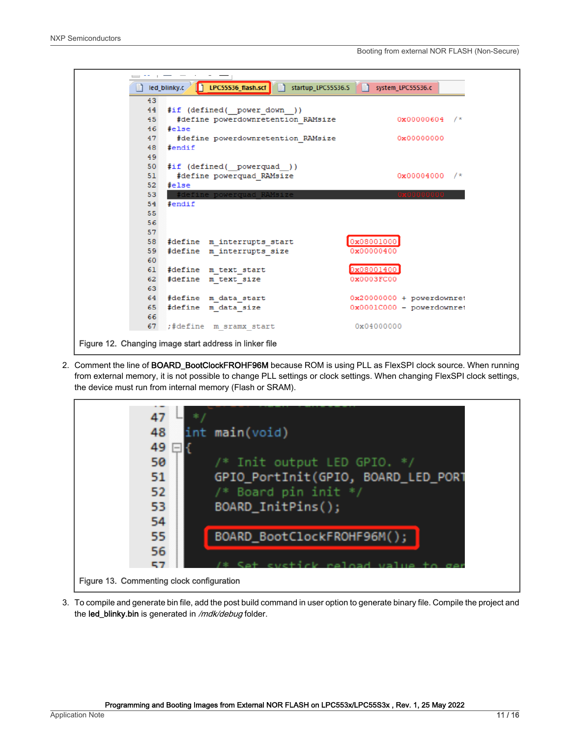

2. Comment the line of BOARD\_BootClockFROHF96M because ROM is using PLL as FlexSPI clock source. When running from external memory, it is not possible to change PLL settings or clock settings. When changing FlexSPI clock settings, the device must run from internal memory (Flash or SRAM).



3. To compile and generate bin file, add the post build command in user option to generate binary file. Compile the project and the led\_blinky.bin is generated in /mdk/debug folder.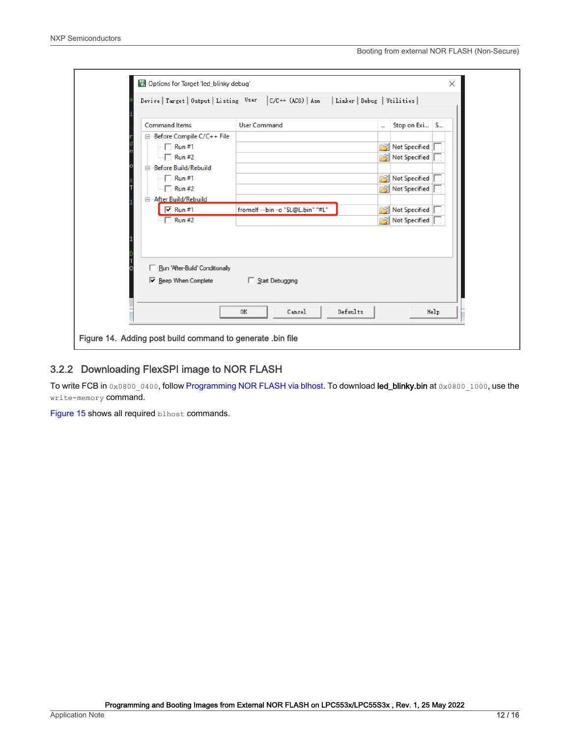|                                                                           | Device   Target   Output   Listing User   C/C++ (AC6)   Asm   Linker   Debug   Utilities |                              |      |
|---------------------------------------------------------------------------|------------------------------------------------------------------------------------------|------------------------------|------|
| <b>Command Items</b>                                                      | <b>User Command</b>                                                                      | Stop on Exi S<br>$\cdots$    |      |
| Before Compile C/C++ File                                                 |                                                                                          |                              |      |
| $\n  Run #1\n$                                                            |                                                                                          | <b>Not Specified</b><br>ابجم |      |
| $\Box$ Run #2                                                             |                                                                                          | <b>Not Specified</b><br>r31  |      |
| Before Build/Rebuild<br>e                                                 |                                                                                          |                              |      |
| $\Box$ Run #1                                                             |                                                                                          | 穹<br><b>Not Specified</b>    |      |
| $\Box$ Run #2                                                             |                                                                                          | <b>Not Specified</b><br>r31  |      |
| After Build/Rebuild<br>e-                                                 |                                                                                          |                              |      |
| $\overline{V}$ Run #1                                                     | fromelf --bin -o "\$L@L.bin" "#L"                                                        | <b>Not Specified</b>         |      |
| $\n  Run #2\n$                                                            |                                                                                          | <b>Not Specified</b><br>序引   |      |
| Run 'After-Build' Conditionally<br>V Beep When Complete I Start Debugging |                                                                                          |                              |      |
|                                                                           | Defaults<br>Cancel<br>0K                                                                 |                              | Help |

#### 3.2.2 Downloading FlexSPI image to NOR FLASH

To write FCB in 0x0800\_0400, follow [Programming NOR FLASH via blhost](#page-5-0). To download led\_blinky.bin at 0x0800\_1000, use the write-memory command.

[Figure 15](#page-12-0) shows all required blhost commands.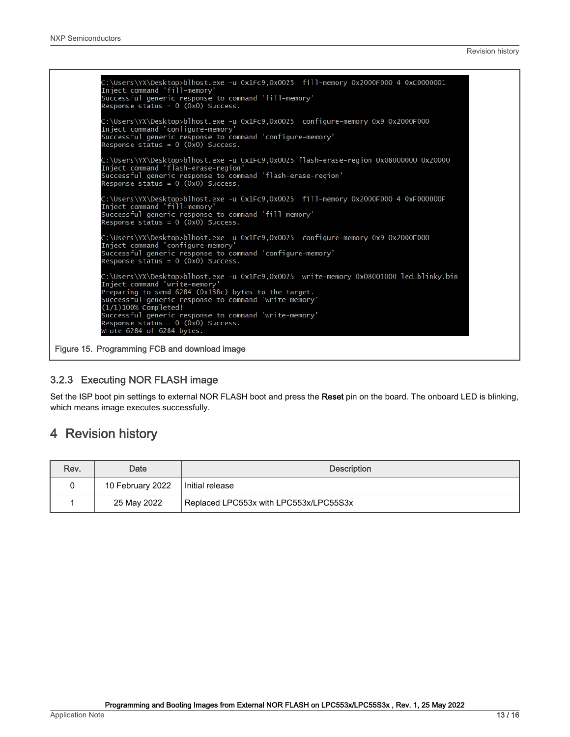<span id="page-12-0"></span>C:\Users\YX\Desktop>blhost.exe -u 0x1Fc9,0x0025 fill-memory 0x2000F000 4 0xC0000001 Inject command 'fill-memory Successful generic results to command 'fill-memory'<br>Successful generic response to command 'fill-memory'<br>Response status = 0 (0x0) Success. C:\Users\YX\Desktop>blhost.exe -u 0x1Fc9,0x0025 configure-memory 0x9 0x2000F000 Inject command 'configure-memory'<br>Successful generic response to command 'configure-memory'<br>Response status = 0 (0x0) Success. C:\Users\YX\Desktop>blhost.exe -u 0x1Fc9,0x0025 flash-erase-region 0x08000000 0x20000 Enject command 'flash-erase-region'<br>Inject command 'flash-erase-region'<br>Successful generic response to command 'flash-erase-region'<br>Response status = 0 (0x0) Success. C:\Users\YX\Desktop>blhost.exe -u 0x1Fc9,0x0025 fill-memory 0x2000F000 4 0xF000000F Inject command 'fill-memory'<br>Successful generic response to command 'fill-memory'<br>Response status = 0 (0x0) Success. ::\Users\YX\Desktop>blhost.exe -u 0x1Fc9,0x0025 configure-memory 0x9 0x2000F000 Inject command 'configure-memory Successful generic response to command 'configure-memory' Response status =  $0$  (0x0) Success. C:\Users\YX\Desktop>blhost.exe -u 0x1Fc9,0x0025 write-memory 0x08001000 led\_blinky.bin<br>Inject command 'write-memory'<br>Preparing to send 6284 (0x188c) bytes to the target. Successful generic response to command 'write-memory<br>(1/1)100% Completed! Successful generic response to command 'write-memory'<br>Response status = 0 (0x0) Success.<br>Wrote 6284 of 6284 bytes.

Figure 15. Programming FCB and download image

#### 3.2.3 Executing NOR FLASH image

Set the ISP boot pin settings to external NOR FLASH boot and press the Reset pin on the board. The onboard LED is blinking, which means image executes successfully.

# 4 Revision history

| Rev. | Date             | <b>Description</b>                     |
|------|------------------|----------------------------------------|
| 0    | 10 February 2022 | Initial release                        |
|      | 25 May 2022      | Replaced LPC553x with LPC553x/LPC55S3x |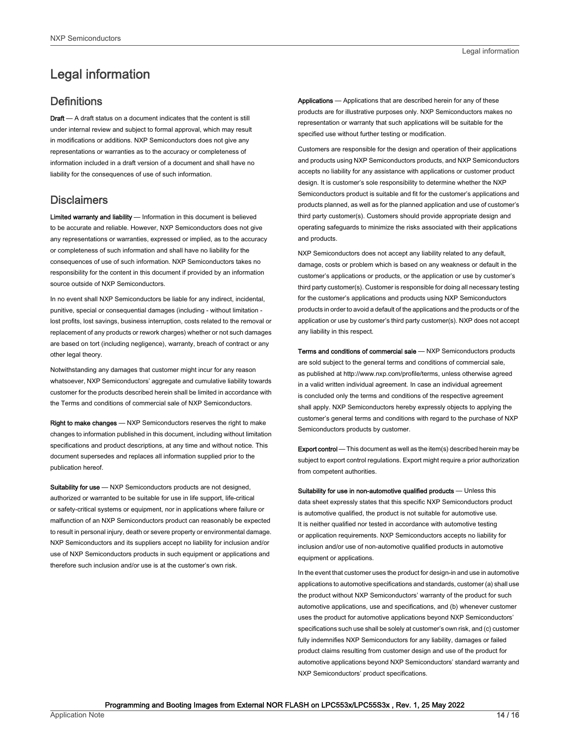# <span id="page-13-0"></span>Legal information

#### **Definitions**

Draft - A draft status on a document indicates that the content is still under internal review and subject to formal approval, which may result in modifications or additions. NXP Semiconductors does not give any representations or warranties as to the accuracy or completeness of information included in a draft version of a document and shall have no liability for the consequences of use of such information.

#### **Disclaimers**

Limited warranty and liability - Information in this document is believed to be accurate and reliable. However, NXP Semiconductors does not give any representations or warranties, expressed or implied, as to the accuracy or completeness of such information and shall have no liability for the consequences of use of such information. NXP Semiconductors takes no responsibility for the content in this document if provided by an information source outside of NXP Semiconductors.

In no event shall NXP Semiconductors be liable for any indirect, incidental, punitive, special or consequential damages (including - without limitation lost profits, lost savings, business interruption, costs related to the removal or replacement of any products or rework charges) whether or not such damages are based on tort (including negligence), warranty, breach of contract or any other legal theory.

Notwithstanding any damages that customer might incur for any reason whatsoever, NXP Semiconductors' aggregate and cumulative liability towards customer for the products described herein shall be limited in accordance with the Terms and conditions of commercial sale of NXP Semiconductors.

Right to make changes — NXP Semiconductors reserves the right to make changes to information published in this document, including without limitation specifications and product descriptions, at any time and without notice. This document supersedes and replaces all information supplied prior to the publication hereof.

Suitability for use - NXP Semiconductors products are not designed, authorized or warranted to be suitable for use in life support, life-critical or safety-critical systems or equipment, nor in applications where failure or malfunction of an NXP Semiconductors product can reasonably be expected to result in personal injury, death or severe property or environmental damage. NXP Semiconductors and its suppliers accept no liability for inclusion and/or use of NXP Semiconductors products in such equipment or applications and therefore such inclusion and/or use is at the customer's own risk.

Applications — Applications that are described herein for any of these products are for illustrative purposes only. NXP Semiconductors makes no representation or warranty that such applications will be suitable for the specified use without further testing or modification.

Customers are responsible for the design and operation of their applications and products using NXP Semiconductors products, and NXP Semiconductors accepts no liability for any assistance with applications or customer product design. It is customer's sole responsibility to determine whether the NXP Semiconductors product is suitable and fit for the customer's applications and products planned, as well as for the planned application and use of customer's third party customer(s). Customers should provide appropriate design and operating safeguards to minimize the risks associated with their applications and products.

NXP Semiconductors does not accept any liability related to any default, damage, costs or problem which is based on any weakness or default in the customer's applications or products, or the application or use by customer's third party customer(s). Customer is responsible for doing all necessary testing for the customer's applications and products using NXP Semiconductors products in order to avoid a default of the applications and the products or of the application or use by customer's third party customer(s). NXP does not accept any liability in this respect.

Terms and conditions of commercial sale — NXP Semiconductors products are sold subject to the general terms and conditions of commercial sale, as published at http://www.nxp.com/profile/terms, unless otherwise agreed in a valid written individual agreement. In case an individual agreement is concluded only the terms and conditions of the respective agreement shall apply. NXP Semiconductors hereby expressly objects to applying the customer's general terms and conditions with regard to the purchase of NXP Semiconductors products by customer.

Export control - This document as well as the item(s) described herein may be subject to export control regulations. Export might require a prior authorization from competent authorities.

Suitability for use in non-automotive qualified products - Unless this data sheet expressly states that this specific NXP Semiconductors product is automotive qualified, the product is not suitable for automotive use. It is neither qualified nor tested in accordance with automotive testing or application requirements. NXP Semiconductors accepts no liability for inclusion and/or use of non-automotive qualified products in automotive equipment or applications.

In the event that customer uses the product for design-in and use in automotive applications to automotive specifications and standards, customer (a) shall use the product without NXP Semiconductors' warranty of the product for such automotive applications, use and specifications, and (b) whenever customer uses the product for automotive applications beyond NXP Semiconductors' specifications such use shall be solely at customer's own risk, and (c) customer fully indemnifies NXP Semiconductors for any liability, damages or failed product claims resulting from customer design and use of the product for automotive applications beyond NXP Semiconductors' standard warranty and NXP Semiconductors' product specifications.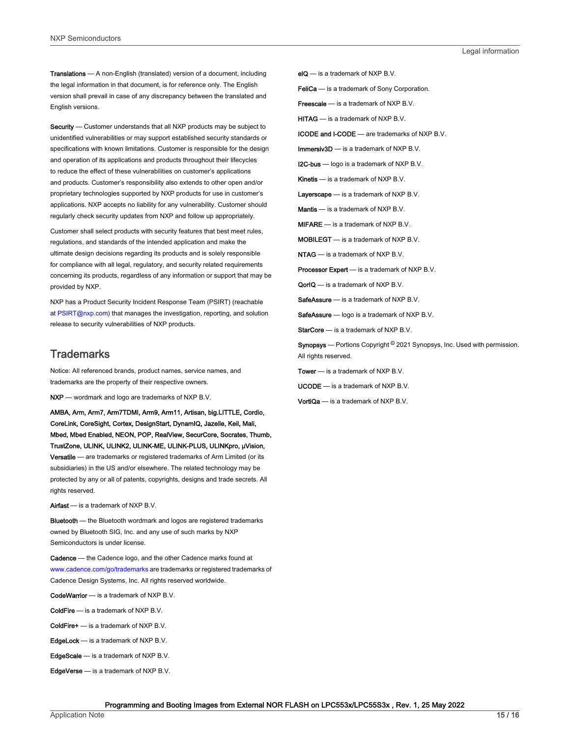Translations — A non-English (translated) version of a document, including the legal information in that document, is for reference only. The English version shall prevail in case of any discrepancy between the translated and English versions.

Security - Customer understands that all NXP products may be subject to unidentified vulnerabilities or may support established security standards or specifications with known limitations. Customer is responsible for the design and operation of its applications and products throughout their lifecycles to reduce the effect of these vulnerabilities on customer's applications and products. Customer's responsibility also extends to other open and/or proprietary technologies supported by NXP products for use in customer's applications. NXP accepts no liability for any vulnerability. Customer should regularly check security updates from NXP and follow up appropriately.

Customer shall select products with security features that best meet rules, regulations, and standards of the intended application and make the ultimate design decisions regarding its products and is solely responsible for compliance with all legal, regulatory, and security related requirements concerning its products, regardless of any information or support that may be provided by NXP.

NXP has a Product Security Incident Response Team (PSIRT) (reachable at [PSIRT@nxp.com\)](mailto:PSIRT@nxp.com) that manages the investigation, reporting, and solution release to security vulnerabilities of NXP products.

#### **Trademarks**

Notice: All referenced brands, product names, service names, and trademarks are the property of their respective owners.

NXP — wordmark and logo are trademarks of NXP B.V.

AMBA, Arm, Arm7, Arm7TDMI, Arm9, Arm11, Artisan, big.LITTLE, Cordio, CoreLink, CoreSight, Cortex, DesignStart, DynamIQ, Jazelle, Keil, Mali, Mbed, Mbed Enabled, NEON, POP, RealView, SecurCore, Socrates, Thumb, TrustZone, ULINK, ULINK2, ULINK-ME, ULINK-PLUS, ULINKpro, μVision, Versatile — are trademarks or registered trademarks of Arm Limited (or its subsidiaries) in the US and/or elsewhere. The related technology may be protected by any or all of patents, copyrights, designs and trade secrets. All rights reserved.

Airfast — is a trademark of NXP B.V.

**Bluetooth** — the Bluetooth wordmark and logos are registered trademarks owned by Bluetooth SIG, Inc. and any use of such marks by NXP Semiconductors is under license.

Cadence — the Cadence logo, and the other Cadence marks found at [www.cadence.com/go/trademarks](http://www.cadence.com/go/trademarks) are trademarks or registered trademarks of Cadence Design Systems, Inc. All rights reserved worldwide.

CodeWarrior — is a trademark of NXP B.V.

- ColdFire is a trademark of NXP B.V.
- ColdFire+ is a trademark of NXP B.V.
- EdgeLock is a trademark of NXP B.V.
- EdgeScale is a trademark of NXP B.V.
- EdgeVerse is a trademark of NXP B.V.

elQ - is a trademark of NXP B.V.

FeliCa - is a trademark of Sony Corporation.

**Freescale** — is a trademark of NXP B.V.

HITAG — is a trademark of NXP B.V.

ICODE and I-CODE — are trademarks of NXP B.V.

Immersiv3D — is a trademark of NXP B.V.

**I2C-bus** — logo is a trademark of NXP B.V.

Kinetis - is a trademark of NXP B.V.

Layerscape - is a trademark of NXP B.V.

Mantis - is a trademark of NXP B.V.

MIFARE — is a trademark of NXP B.V.

MOBILEGT — is a trademark of NXP B.V.

NTAG — is a trademark of NXP B.V.

Processor Expert - is a trademark of NXP B.V.

QorIQ - is a trademark of NXP B.V.

SafeAssure — is a trademark of NXP B.V.

SafeAssure - logo is a trademark of NXP B.V.

StarCore - is a trademark of NXP B.V.

Synopsys - Portions Copyright <sup>©</sup> 2021 Synopsys, Inc. Used with permission. All rights reserved.

Tower — is a trademark of NXP B.V.

UCODE — is a trademark of NXP B.V.

VortiQa — is a trademark of NXP B.V.